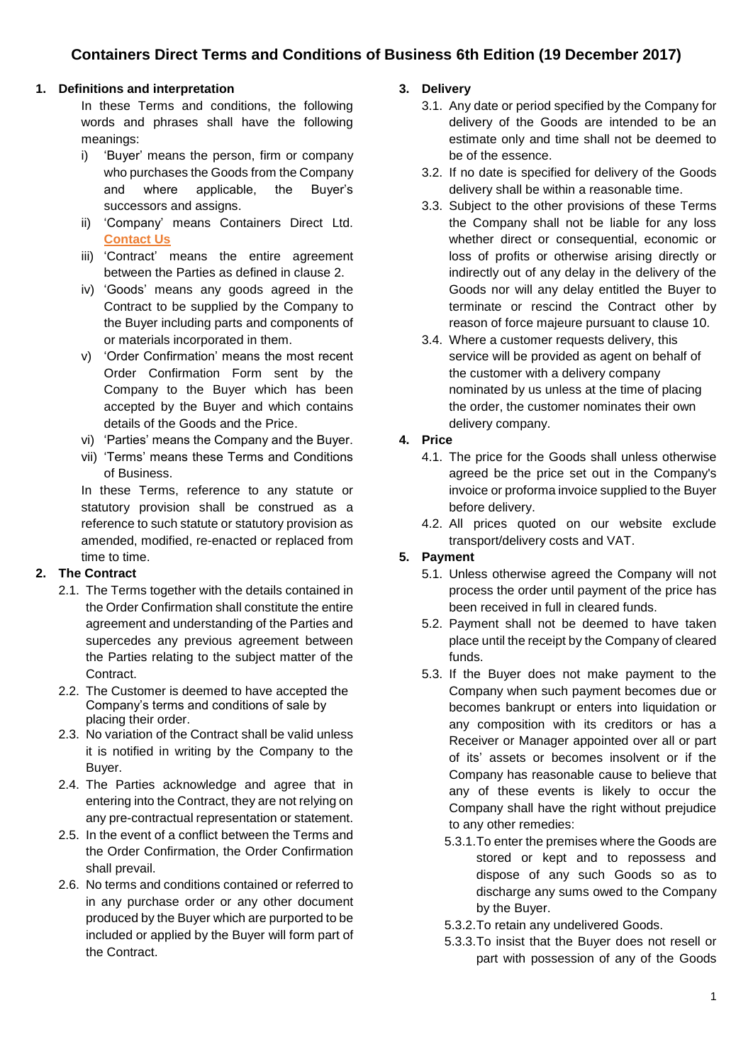# **1. Definitions and interpretation**

In these Terms and conditions, the following words and phrases shall have the following meanings:

- i) 'Buyer' means the person, firm or company who purchases the Goods from the Company and where applicable, the Buyer's successors and assigns.
- ii) 'Company' means Containers Direct Ltd. **[Contact Us](http://www.shippingcontainersuk.com/contact.php)**
- iii) 'Contract' means the entire agreement between the Parties as defined in clause 2.
- iv) 'Goods' means any goods agreed in the Contract to be supplied by the Company to the Buyer including parts and components of or materials incorporated in them.
- v) 'Order Confirmation' means the most recent Order Confirmation Form sent by the Company to the Buyer which has been accepted by the Buyer and which contains details of the Goods and the Price.
- vi) 'Parties' means the Company and the Buyer.
- vii) 'Terms' means these Terms and Conditions of Business.

In these Terms, reference to any statute or statutory provision shall be construed as a reference to such statute or statutory provision as amended, modified, re-enacted or replaced from time to time.

## **2. The Contract**

- 2.1. The Terms together with the details contained in the Order Confirmation shall constitute the entire agreement and understanding of the Parties and supercedes any previous agreement between the Parties relating to the subject matter of the **Contract.**
- 2.2. The Customer is deemed to have accepted the Company's terms and conditions of sale by placing their order.
- 2.3. No variation of the Contract shall be valid unless it is notified in writing by the Company to the Buyer.
- 2.4. The Parties acknowledge and agree that in entering into the Contract, they are not relying on any pre-contractual representation or statement.
- 2.5. In the event of a conflict between the Terms and the Order Confirmation, the Order Confirmation shall prevail.
- 2.6. No terms and conditions contained or referred to in any purchase order or any other document produced by the Buyer which are purported to be included or applied by the Buyer will form part of the Contract.

## **3. Delivery**

- 3.1. Any date or period specified by the Company for delivery of the Goods are intended to be an estimate only and time shall not be deemed to be of the essence.
- 3.2. If no date is specified for delivery of the Goods delivery shall be within a reasonable time.
- 3.3. Subject to the other provisions of these Terms the Company shall not be liable for any loss whether direct or consequential, economic or loss of profits or otherwise arising directly or indirectly out of any delay in the delivery of the Goods nor will any delay entitled the Buyer to terminate or rescind the Contract other by reason of force majeure pursuant to clause 10.
- 3.4. Where a customer requests delivery, this service will be provided as agent on behalf of the customer with a delivery company nominated by us unless at the time of placing the order, the customer nominates their own delivery company.

# **4. Price**

- 4.1. The price for the Goods shall unless otherwise agreed be the price set out in the Company's invoice or proforma invoice supplied to the Buyer before delivery.
- 4.2. All prices quoted on our website exclude transport/delivery costs and VAT.

# **5. Payment**

- 5.1. Unless otherwise agreed the Company will not process the order until payment of the price has been received in full in cleared funds.
- 5.2. Payment shall not be deemed to have taken place until the receipt by the Company of cleared funds.
- 5.3. If the Buyer does not make payment to the Company when such payment becomes due or becomes bankrupt or enters into liquidation or any composition with its creditors or has a Receiver or Manager appointed over all or part of its' assets or becomes insolvent or if the Company has reasonable cause to believe that any of these events is likely to occur the Company shall have the right without prejudice to any other remedies:
	- 5.3.1.To enter the premises where the Goods are stored or kept and to repossess and dispose of any such Goods so as to discharge any sums owed to the Company by the Buyer.
	- 5.3.2.To retain any undelivered Goods.
	- 5.3.3.To insist that the Buyer does not resell or part with possession of any of the Goods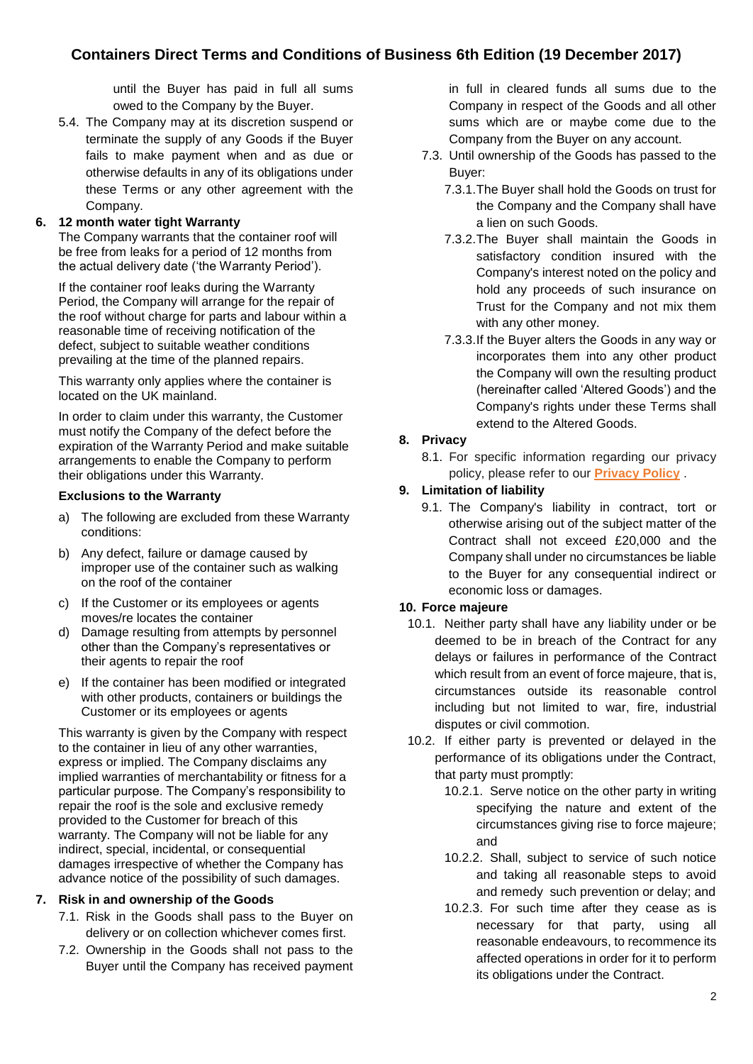# **Containers Direct Terms and Conditions of Business 6th Edition (19 December 2017)**

until the Buyer has paid in full all sums owed to the Company by the Buyer.

5.4. The Company may at its discretion suspend or terminate the supply of any Goods if the Buyer fails to make payment when and as due or otherwise defaults in any of its obligations under these Terms or any other agreement with the Company.

## **6. 12 month water tight Warranty**

The Company warrants that the container roof will be free from leaks for a period of 12 months from the actual delivery date ('the Warranty Period').

If the container roof leaks during the Warranty Period, the Company will arrange for the repair of the roof without charge for parts and labour within a reasonable time of receiving notification of the defect, subject to suitable weather conditions prevailing at the time of the planned repairs.

This warranty only applies where the container is located on the UK mainland.

In order to claim under this warranty, the Customer must notify the Company of the defect before the expiration of the Warranty Period and make suitable arrangements to enable the Company to perform their obligations under this Warranty.

#### **Exclusions to the Warranty**

- a) The following are excluded from these Warranty conditions:
- b) Any defect, failure or damage caused by improper use of the container such as walking on the roof of the container
- c) If the Customer or its employees or agents moves/re locates the container
- d) Damage resulting from attempts by personnel other than the Company's representatives or their agents to repair the roof
- e) If the container has been modified or integrated with other products, containers or buildings the Customer or its employees or agents

This warranty is given by the Company with respect to the container in lieu of any other warranties, express or implied. The Company disclaims any implied warranties of merchantability or fitness for a particular purpose. The Company's responsibility to repair the roof is the sole and exclusive remedy provided to the Customer for breach of this warranty. The Company will not be liable for any indirect, special, incidental, or consequential damages irrespective of whether the Company has advance notice of the possibility of such damages.

### **7. Risk in and ownership of the Goods**

- 7.1. Risk in the Goods shall pass to the Buyer on delivery or on collection whichever comes first.
- 7.2. Ownership in the Goods shall not pass to the Buyer until the Company has received payment

in full in cleared funds all sums due to the Company in respect of the Goods and all other sums which are or maybe come due to the Company from the Buyer on any account.

- 7.3. Until ownership of the Goods has passed to the Buyer:
	- 7.3.1.The Buyer shall hold the Goods on trust for the Company and the Company shall have a lien on such Goods.
	- 7.3.2.The Buyer shall maintain the Goods in satisfactory condition insured with the Company's interest noted on the policy and hold any proceeds of such insurance on Trust for the Company and not mix them with any other money.
	- 7.3.3.If the Buyer alters the Goods in any way or incorporates them into any other product the Company will own the resulting product (hereinafter called 'Altered Goods') and the Company's rights under these Terms shall extend to the Altered Goods.

## **8. Privacy**

8.1. For specific information regarding our privacy policy, please refer to our **[Privacy Policy](http://www.shippingcontainersuk.com/privacy.php)** .

## **9. Limitation of liability**

9.1. The Company's liability in contract, tort or otherwise arising out of the subject matter of the Contract shall not exceed £20,000 and the Company shall under no circumstances be liable to the Buyer for any consequential indirect or economic loss or damages.

### **10. Force majeure**

- 10.1. Neither party shall have any liability under or be deemed to be in breach of the Contract for any delays or failures in performance of the Contract which result from an event of force majeure, that is, circumstances outside its reasonable control including but not limited to war, fire, industrial disputes or civil commotion.
- 10.2. If either party is prevented or delayed in the performance of its obligations under the Contract, that party must promptly:
	- 10.2.1. Serve notice on the other party in writing specifying the nature and extent of the circumstances giving rise to force majeure; and
	- 10.2.2. Shall, subject to service of such notice and taking all reasonable steps to avoid and remedy such prevention or delay; and
	- 10.2.3. For such time after they cease as is necessary for that party, using all reasonable endeavours, to recommence its affected operations in order for it to perform its obligations under the Contract.